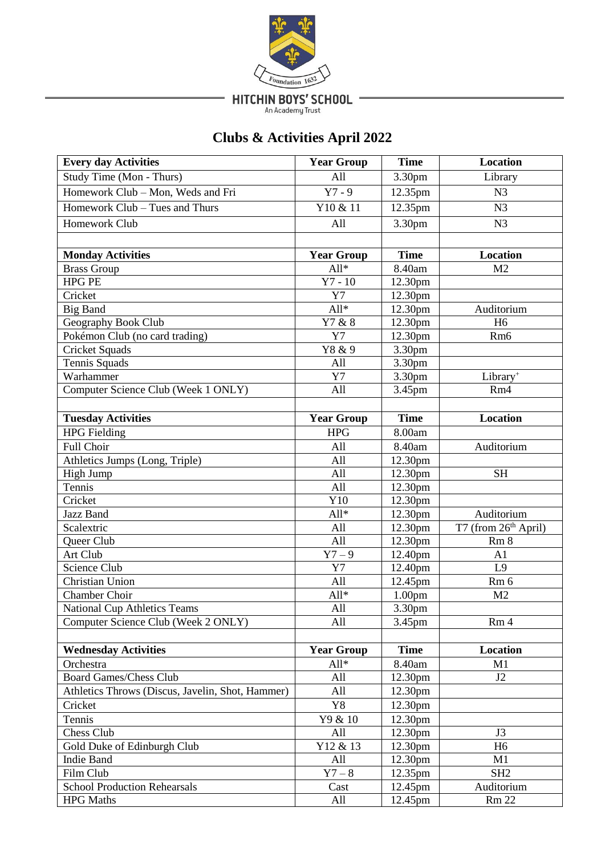

HITCHIN BOYS' SCHOOL

-

# **Clubs & Activities April 2022**

| <b>Every day Activities</b>                      | <b>Year Group</b>    | <b>Time</b>         | <b>Location</b>      |
|--------------------------------------------------|----------------------|---------------------|----------------------|
| Study Time (Mon - Thurs)                         | All                  | 3.30pm              | Library              |
| Homework Club - Mon, Weds and Fri                | $Y7 - 9$             | 12.35pm             | N <sub>3</sub>       |
| Homework Club - Tues and Thurs                   | Y10 & 11             | 12.35pm             | N <sub>3</sub>       |
| Homework Club                                    | All                  | 3.30pm              | N <sub>3</sub>       |
|                                                  |                      |                     |                      |
| <b>Monday Activities</b>                         | <b>Year Group</b>    | <b>Time</b>         | <b>Location</b>      |
| <b>Brass Group</b>                               | $All*$               | 8.40am              | M <sub>2</sub>       |
| <b>HPG PE</b>                                    | $Y7 - 10$            | 12.30 <sub>pm</sub> |                      |
| Cricket                                          | Y7                   | 12.30pm             |                      |
| <b>Big Band</b>                                  | $All*$               | 12.30pm             | Auditorium           |
| Geography Book Club                              | Y7 & 8               | 12.30pm             | H <sub>6</sub>       |
| Pokémon Club (no card trading)                   | Y7                   | 12.30pm             | Rm <sub>6</sub>      |
| <b>Cricket Squads</b>                            | Y8 & 9               | 3.30pm              |                      |
| Tennis Squads                                    | All                  | 3.30pm              |                      |
| Warhammer                                        | Y7                   | 3.30pm              | Library <sup>+</sup> |
| Computer Science Club (Week 1 ONLY)              | All                  | 3.45pm              | Rm4                  |
|                                                  |                      |                     |                      |
| <b>Tuesday Activities</b>                        | <b>Year Group</b>    | <b>Time</b>         | <b>Location</b>      |
| <b>HPG</b> Fielding                              | <b>HPG</b>           | 8.00am              |                      |
| Full Choir                                       | All                  | 8.40am              | Auditorium           |
| Athletics Jumps (Long, Triple)                   | All                  | 12.30pm             |                      |
| High Jump                                        | All                  | 12.30pm             | <b>SH</b>            |
| Tennis                                           | All                  | 12.30 <sub>pm</sub> |                      |
| Cricket                                          | Y10                  | 12.30pm             |                      |
| Jazz Band                                        | All*                 | 12.30pm             | Auditorium           |
| Scalextric                                       | All                  | 12.30pm             | T7 (from 26th April) |
| Queer Club                                       | All                  | 12.30pm             | Rm <sub>8</sub>      |
| Art Club                                         | $\overline{Y}$ 7 – 9 | 12.40pm             | A1                   |
| Science Club                                     | Y7                   | 12.40pm             | L <sub>9</sub>       |
| Christian Union                                  | All                  | 12.45pm             | Rm 6                 |
| Chamber Choir                                    | All*                 | 1.00 <sub>pm</sub>  | M <sub>2</sub>       |
| <b>National Cup Athletics Teams</b>              | All                  | 3.30pm              |                      |
| Computer Science Club (Week 2 ONLY)              | All                  | 3.45pm              | Rm <sub>4</sub>      |
|                                                  |                      |                     |                      |
| <b>Wednesday Activities</b>                      | <b>Year Group</b>    | <b>Time</b>         | <b>Location</b>      |
| Orchestra                                        | $All*$               | 8.40am              | M1                   |
| <b>Board Games/Chess Club</b>                    | All                  | 12.30pm             | J2                   |
| Athletics Throws (Discus, Javelin, Shot, Hammer) | All                  | 12.30pm             |                      |
| Cricket                                          | Y8                   | 12.30pm             |                      |
| Tennis                                           | Y9 & 10              | 12.30pm             |                      |
| Chess Club                                       | All                  | 12.30pm             | J3                   |
| Gold Duke of Edinburgh Club                      | Y12 & 13             | 12.30pm             | H <sub>6</sub>       |
| Indie Band                                       | All                  | 12.30 <sub>pm</sub> | M1                   |
| Film Club                                        | $Y7 - 8$             | 12.35pm             | SH <sub>2</sub>      |
| <b>School Production Rehearsals</b>              | Cast                 | 12.45pm             | Auditorium           |
| <b>HPG</b> Maths                                 | All                  | 12.45pm             | <b>Rm 22</b>         |